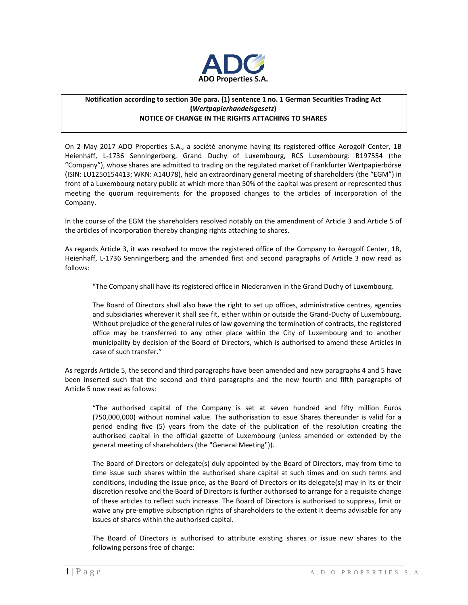

## **Notification according to section 30e para. (1) sentence 1 no. 1 German Securities Trading Act (***Wertpapierhandelsgesetz***) NOTICE OF CHANGE IN THE RIGHTS ATTACHING TO SHARES**

On 2 May 2017 ADO Properties S.A., a société anonyme having its registered office Aerogolf Center, 1B Heienhaff, L-1736 Senningerberg, Grand Duchy of Luxembourg, RCS Luxembourg: B197554 (the "Company"), whose shares are admitted to trading on the regulated market of Frankfurter Wertpapierbörse (ISIN: LU1250154413; WKN: A14U78), held an extraordinary general meeting of shareholders (the "EGM") in front of a Luxembourg notary public at which more than 50% of the capital was present or represented thus meeting the quorum requirements for the proposed changes to the articles of incorporation of the Company.

In the course of the EGM the shareholders resolved notably on the amendment of Article 3 and Article 5 of the articles of incorporation thereby changing rights attaching to shares.

As regards Article 3, it was resolved to move the registered office of the Company to Aerogolf Center, 1B, Heienhaff, L-1736 Senningerberg and the amended first and second paragraphs of Article 3 now read as follows:

"The Company shall have its registered office in Niederanven in the Grand Duchy of Luxembourg.

The Board of Directors shall also have the right to set up offices, administrative centres, agencies and subsidiaries wherever it shall see fit, either within or outside the Grand-Duchy of Luxembourg. Without prejudice of the general rules of law governing the termination of contracts, the registered office may be transferred to any other place within the City of Luxembourg and to another municipality by decision of the Board of Directors, which is authorised to amend these Articles in case of such transfer."

As regards Article 5, the second and third paragraphs have been amended and new paragraphs 4 and 5 have been inserted such that the second and third paragraphs and the new fourth and fifth paragraphs of Article 5 now read as follows:

"The authorised capital of the Company is set at seven hundred and fifty million Euros (750,000,000) without nominal value. The authorisation to issue Shares thereunder is valid for a period ending five (5) years from the date of the publication of the resolution creating the authorised capital in the official gazette of Luxembourg (unless amended or extended by the general meeting of shareholders (the "General Meeting")).

The Board of Directors or delegate(s) duly appointed by the Board of Directors, may from time to time issue such shares within the authorised share capital at such times and on such terms and conditions, including the issue price, as the Board of Directors or its delegate(s) may in its or their discretion resolve and the Board of Directors is further authorised to arrange for a requisite change of these articles to reflect such increase. The Board of Directors is authorised to suppress, limit or waive any pre-emptive subscription rights of shareholders to the extent it deems advisable for any issues of shares within the authorised capital.

The Board of Directors is authorised to attribute existing shares or issue new shares to the following persons free of charge: